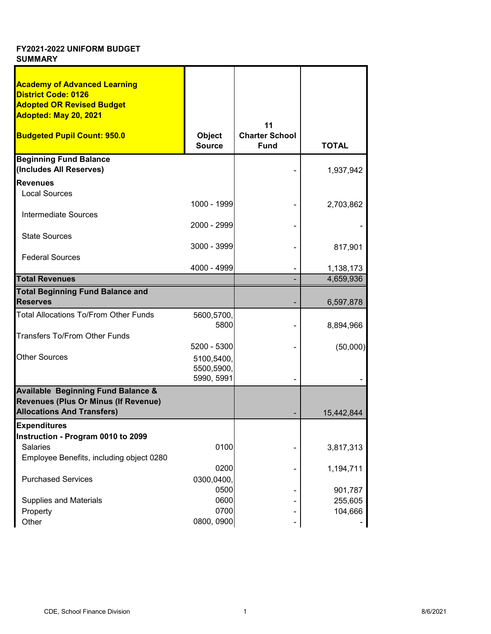| <b>Academy of Advanced Learning</b>           |               |                       |              |
|-----------------------------------------------|---------------|-----------------------|--------------|
| <b>District Code: 0126</b>                    |               |                       |              |
| <b>Adopted OR Revised Budget</b>              |               |                       |              |
| Adopted: May 20, 2021                         |               |                       |              |
|                                               |               | 11                    |              |
| <b>Budgeted Pupil Count: 950.0</b>            | <b>Object</b> | <b>Charter School</b> |              |
|                                               | <b>Source</b> | <b>Fund</b>           | <b>TOTAL</b> |
| <b>Beginning Fund Balance</b>                 |               |                       |              |
| (Includes All Reserves)                       |               |                       | 1,937,942    |
| <b>Revenues</b>                               |               |                       |              |
| <b>Local Sources</b>                          |               |                       |              |
|                                               | 1000 - 1999   |                       | 2,703,862    |
| Intermediate Sources                          |               |                       |              |
|                                               | 2000 - 2999   |                       |              |
| <b>State Sources</b>                          |               |                       |              |
|                                               | $3000 - 3999$ |                       | 817,901      |
| <b>Federal Sources</b>                        |               |                       |              |
|                                               | 4000 - 4999   |                       | 1,138,173    |
| <b>Total Revenues</b>                         |               |                       | 4,659,936    |
| <b>Total Beginning Fund Balance and</b>       |               |                       |              |
| <b>Reserves</b>                               |               |                       | 6,597,878    |
| <b>Total Allocations To/From Other Funds</b>  | 5600,5700,    |                       |              |
|                                               | 5800          |                       | 8,894,966    |
| <b>Transfers To/From Other Funds</b>          |               |                       |              |
|                                               | 5200 - 5300   |                       | (50,000)     |
| <b>Other Sources</b>                          | 5100,5400,    |                       |              |
|                                               | 5500,5900,    |                       |              |
|                                               | 5990, 5991    |                       |              |
| <b>Available Beginning Fund Balance &amp;</b> |               |                       |              |
| Revenues (Plus Or Minus (If Revenue)          |               |                       |              |
| <b>Allocations And Transfers)</b>             |               |                       | 15,442,844   |
| <b>Expenditures</b>                           |               |                       |              |
| Instruction - Program 0010 to 2099            |               |                       |              |
| Salaries                                      | 0100          |                       | 3,817,313    |
| Employee Benefits, including object 0280      |               |                       |              |
|                                               | 0200          |                       | 1,194,711    |
| <b>Purchased Services</b>                     | 0300,0400,    |                       |              |
|                                               | 0500          |                       | 901,787      |
| <b>Supplies and Materials</b>                 | 0600          |                       | 255,605      |
| Property                                      | 0700          |                       | 104,666      |
| Other                                         | 0800, 0900    |                       |              |
|                                               |               |                       |              |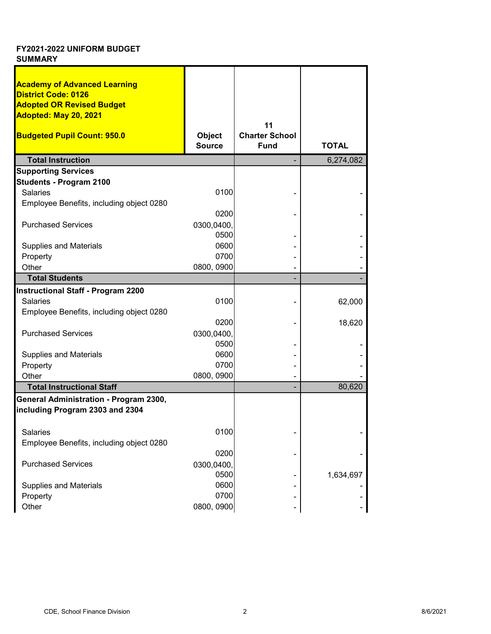| <b>Academy of Advanced Learning</b><br><b>District Code: 0126</b> |               |                       |              |
|-------------------------------------------------------------------|---------------|-----------------------|--------------|
| <b>Adopted OR Revised Budget</b>                                  |               |                       |              |
| Adopted: May 20, 2021                                             |               |                       |              |
|                                                                   |               | 11                    |              |
| <b>Budgeted Pupil Count: 950.0</b>                                | <b>Object</b> | <b>Charter School</b> |              |
|                                                                   | <b>Source</b> | <b>Fund</b>           | <b>TOTAL</b> |
| <b>Total Instruction</b>                                          |               |                       | 6,274,082    |
| <b>Supporting Services</b>                                        |               |                       |              |
| <b>Students - Program 2100</b>                                    |               |                       |              |
| <b>Salaries</b>                                                   | 0100          |                       |              |
| Employee Benefits, including object 0280                          |               |                       |              |
|                                                                   | 0200          |                       |              |
| <b>Purchased Services</b>                                         | 0300,0400,    |                       |              |
|                                                                   | 0500          |                       |              |
| <b>Supplies and Materials</b>                                     | 0600          |                       |              |
| Property                                                          | 0700          |                       |              |
| Other                                                             | 0800, 0900    |                       |              |
| <b>Total Students</b>                                             |               |                       |              |
| Instructional Staff - Program 2200                                |               |                       |              |
| <b>Salaries</b>                                                   | 0100          |                       | 62,000       |
| Employee Benefits, including object 0280                          |               |                       |              |
|                                                                   | 0200          |                       | 18,620       |
| <b>Purchased Services</b>                                         | 0300,0400,    |                       |              |
|                                                                   | 0500          |                       |              |
| <b>Supplies and Materials</b>                                     | 0600          |                       |              |
| Property                                                          | 0700          |                       |              |
| Other                                                             | 0800, 0900    |                       |              |
| <b>Total Instructional Staff</b>                                  |               |                       | 80,620       |
| General Administration - Program 2300,                            |               |                       |              |
| including Program 2303 and 2304                                   |               |                       |              |
|                                                                   |               |                       |              |
| Salaries                                                          | 0100          |                       |              |
| Employee Benefits, including object 0280                          |               |                       |              |
|                                                                   | 0200          |                       |              |
| <b>Purchased Services</b>                                         | 0300,0400,    |                       |              |
|                                                                   | 0500          |                       | 1,634,697    |
| <b>Supplies and Materials</b>                                     | 0600          |                       |              |
| Property                                                          | 0700          |                       |              |
| Other                                                             | 0800, 0900    |                       |              |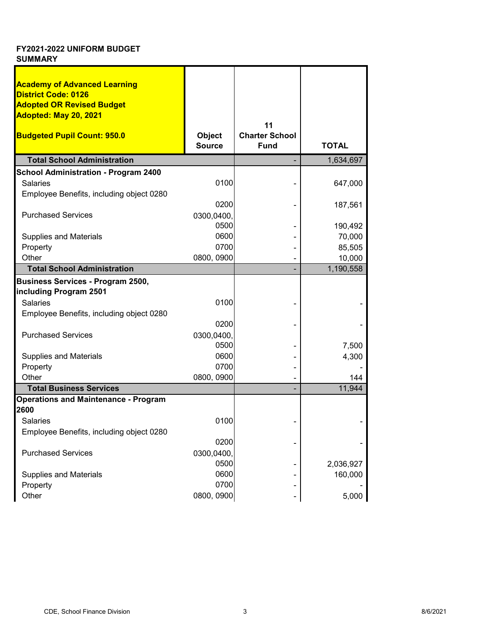| <b>Academy of Advanced Learning</b><br><b>District Code: 0126</b><br><b>Adopted OR Revised Budget</b><br>Adopted: May 20, 2021<br>11<br><b>Budgeted Pupil Count: 950.0</b><br><b>Charter School</b><br><b>Object</b><br><b>Source</b><br><b>Fund</b><br><b>TOTAL</b><br><b>Total School Administration</b><br>1,634,697<br><b>School Administration - Program 2400</b><br>0100<br><b>Salaries</b><br>647,000<br>Employee Benefits, including object 0280<br>0200<br>187,561<br><b>Purchased Services</b><br>0300,0400,<br>0500<br>190,492<br>0600<br><b>Supplies and Materials</b><br>70,000<br>0700<br>Property<br>85,505<br>0800, 0900<br>Other<br>10,000<br><b>Total School Administration</b><br>1,190,558<br><b>Business Services - Program 2500,</b><br>including Program 2501<br><b>Salaries</b><br>0100<br>Employee Benefits, including object 0280<br>0200<br><b>Purchased Services</b><br>0300,0400,<br>0500<br>7,500<br>0600<br><b>Supplies and Materials</b><br>4,300<br>0700<br>Property<br>0800, 0900<br>Other<br>144<br><b>Total Business Services</b><br>11,944<br><b>Operations and Maintenance - Program</b><br>2600<br>0100<br>Salaries<br>Employee Benefits, including object 0280<br>0200<br><b>Purchased Services</b><br>0300,0400,<br>0500<br>2,036,927<br><b>Supplies and Materials</b><br>0600<br>160,000<br>0700<br>Property |       |            |       |
|--------------------------------------------------------------------------------------------------------------------------------------------------------------------------------------------------------------------------------------------------------------------------------------------------------------------------------------------------------------------------------------------------------------------------------------------------------------------------------------------------------------------------------------------------------------------------------------------------------------------------------------------------------------------------------------------------------------------------------------------------------------------------------------------------------------------------------------------------------------------------------------------------------------------------------------------------------------------------------------------------------------------------------------------------------------------------------------------------------------------------------------------------------------------------------------------------------------------------------------------------------------------------------------------------------------------------------------------------------|-------|------------|-------|
|                                                                                                                                                                                                                                                                                                                                                                                                                                                                                                                                                                                                                                                                                                                                                                                                                                                                                                                                                                                                                                                                                                                                                                                                                                                                                                                                                        |       |            |       |
|                                                                                                                                                                                                                                                                                                                                                                                                                                                                                                                                                                                                                                                                                                                                                                                                                                                                                                                                                                                                                                                                                                                                                                                                                                                                                                                                                        |       |            |       |
|                                                                                                                                                                                                                                                                                                                                                                                                                                                                                                                                                                                                                                                                                                                                                                                                                                                                                                                                                                                                                                                                                                                                                                                                                                                                                                                                                        |       |            |       |
|                                                                                                                                                                                                                                                                                                                                                                                                                                                                                                                                                                                                                                                                                                                                                                                                                                                                                                                                                                                                                                                                                                                                                                                                                                                                                                                                                        |       |            |       |
|                                                                                                                                                                                                                                                                                                                                                                                                                                                                                                                                                                                                                                                                                                                                                                                                                                                                                                                                                                                                                                                                                                                                                                                                                                                                                                                                                        |       |            |       |
|                                                                                                                                                                                                                                                                                                                                                                                                                                                                                                                                                                                                                                                                                                                                                                                                                                                                                                                                                                                                                                                                                                                                                                                                                                                                                                                                                        |       |            |       |
|                                                                                                                                                                                                                                                                                                                                                                                                                                                                                                                                                                                                                                                                                                                                                                                                                                                                                                                                                                                                                                                                                                                                                                                                                                                                                                                                                        |       |            |       |
|                                                                                                                                                                                                                                                                                                                                                                                                                                                                                                                                                                                                                                                                                                                                                                                                                                                                                                                                                                                                                                                                                                                                                                                                                                                                                                                                                        |       |            |       |
|                                                                                                                                                                                                                                                                                                                                                                                                                                                                                                                                                                                                                                                                                                                                                                                                                                                                                                                                                                                                                                                                                                                                                                                                                                                                                                                                                        |       |            |       |
|                                                                                                                                                                                                                                                                                                                                                                                                                                                                                                                                                                                                                                                                                                                                                                                                                                                                                                                                                                                                                                                                                                                                                                                                                                                                                                                                                        |       |            |       |
|                                                                                                                                                                                                                                                                                                                                                                                                                                                                                                                                                                                                                                                                                                                                                                                                                                                                                                                                                                                                                                                                                                                                                                                                                                                                                                                                                        |       |            |       |
|                                                                                                                                                                                                                                                                                                                                                                                                                                                                                                                                                                                                                                                                                                                                                                                                                                                                                                                                                                                                                                                                                                                                                                                                                                                                                                                                                        |       |            |       |
|                                                                                                                                                                                                                                                                                                                                                                                                                                                                                                                                                                                                                                                                                                                                                                                                                                                                                                                                                                                                                                                                                                                                                                                                                                                                                                                                                        |       |            |       |
|                                                                                                                                                                                                                                                                                                                                                                                                                                                                                                                                                                                                                                                                                                                                                                                                                                                                                                                                                                                                                                                                                                                                                                                                                                                                                                                                                        |       |            |       |
|                                                                                                                                                                                                                                                                                                                                                                                                                                                                                                                                                                                                                                                                                                                                                                                                                                                                                                                                                                                                                                                                                                                                                                                                                                                                                                                                                        |       |            |       |
|                                                                                                                                                                                                                                                                                                                                                                                                                                                                                                                                                                                                                                                                                                                                                                                                                                                                                                                                                                                                                                                                                                                                                                                                                                                                                                                                                        |       |            |       |
|                                                                                                                                                                                                                                                                                                                                                                                                                                                                                                                                                                                                                                                                                                                                                                                                                                                                                                                                                                                                                                                                                                                                                                                                                                                                                                                                                        |       |            |       |
|                                                                                                                                                                                                                                                                                                                                                                                                                                                                                                                                                                                                                                                                                                                                                                                                                                                                                                                                                                                                                                                                                                                                                                                                                                                                                                                                                        |       |            |       |
|                                                                                                                                                                                                                                                                                                                                                                                                                                                                                                                                                                                                                                                                                                                                                                                                                                                                                                                                                                                                                                                                                                                                                                                                                                                                                                                                                        |       |            |       |
|                                                                                                                                                                                                                                                                                                                                                                                                                                                                                                                                                                                                                                                                                                                                                                                                                                                                                                                                                                                                                                                                                                                                                                                                                                                                                                                                                        |       |            |       |
|                                                                                                                                                                                                                                                                                                                                                                                                                                                                                                                                                                                                                                                                                                                                                                                                                                                                                                                                                                                                                                                                                                                                                                                                                                                                                                                                                        |       |            |       |
|                                                                                                                                                                                                                                                                                                                                                                                                                                                                                                                                                                                                                                                                                                                                                                                                                                                                                                                                                                                                                                                                                                                                                                                                                                                                                                                                                        |       |            |       |
|                                                                                                                                                                                                                                                                                                                                                                                                                                                                                                                                                                                                                                                                                                                                                                                                                                                                                                                                                                                                                                                                                                                                                                                                                                                                                                                                                        |       |            |       |
|                                                                                                                                                                                                                                                                                                                                                                                                                                                                                                                                                                                                                                                                                                                                                                                                                                                                                                                                                                                                                                                                                                                                                                                                                                                                                                                                                        |       |            |       |
|                                                                                                                                                                                                                                                                                                                                                                                                                                                                                                                                                                                                                                                                                                                                                                                                                                                                                                                                                                                                                                                                                                                                                                                                                                                                                                                                                        |       |            |       |
|                                                                                                                                                                                                                                                                                                                                                                                                                                                                                                                                                                                                                                                                                                                                                                                                                                                                                                                                                                                                                                                                                                                                                                                                                                                                                                                                                        |       |            |       |
|                                                                                                                                                                                                                                                                                                                                                                                                                                                                                                                                                                                                                                                                                                                                                                                                                                                                                                                                                                                                                                                                                                                                                                                                                                                                                                                                                        |       |            |       |
|                                                                                                                                                                                                                                                                                                                                                                                                                                                                                                                                                                                                                                                                                                                                                                                                                                                                                                                                                                                                                                                                                                                                                                                                                                                                                                                                                        |       |            |       |
|                                                                                                                                                                                                                                                                                                                                                                                                                                                                                                                                                                                                                                                                                                                                                                                                                                                                                                                                                                                                                                                                                                                                                                                                                                                                                                                                                        |       |            |       |
|                                                                                                                                                                                                                                                                                                                                                                                                                                                                                                                                                                                                                                                                                                                                                                                                                                                                                                                                                                                                                                                                                                                                                                                                                                                                                                                                                        |       |            |       |
|                                                                                                                                                                                                                                                                                                                                                                                                                                                                                                                                                                                                                                                                                                                                                                                                                                                                                                                                                                                                                                                                                                                                                                                                                                                                                                                                                        |       |            |       |
|                                                                                                                                                                                                                                                                                                                                                                                                                                                                                                                                                                                                                                                                                                                                                                                                                                                                                                                                                                                                                                                                                                                                                                                                                                                                                                                                                        |       |            |       |
|                                                                                                                                                                                                                                                                                                                                                                                                                                                                                                                                                                                                                                                                                                                                                                                                                                                                                                                                                                                                                                                                                                                                                                                                                                                                                                                                                        |       |            |       |
|                                                                                                                                                                                                                                                                                                                                                                                                                                                                                                                                                                                                                                                                                                                                                                                                                                                                                                                                                                                                                                                                                                                                                                                                                                                                                                                                                        |       |            |       |
|                                                                                                                                                                                                                                                                                                                                                                                                                                                                                                                                                                                                                                                                                                                                                                                                                                                                                                                                                                                                                                                                                                                                                                                                                                                                                                                                                        |       |            |       |
|                                                                                                                                                                                                                                                                                                                                                                                                                                                                                                                                                                                                                                                                                                                                                                                                                                                                                                                                                                                                                                                                                                                                                                                                                                                                                                                                                        |       |            |       |
|                                                                                                                                                                                                                                                                                                                                                                                                                                                                                                                                                                                                                                                                                                                                                                                                                                                                                                                                                                                                                                                                                                                                                                                                                                                                                                                                                        |       |            |       |
|                                                                                                                                                                                                                                                                                                                                                                                                                                                                                                                                                                                                                                                                                                                                                                                                                                                                                                                                                                                                                                                                                                                                                                                                                                                                                                                                                        |       |            |       |
|                                                                                                                                                                                                                                                                                                                                                                                                                                                                                                                                                                                                                                                                                                                                                                                                                                                                                                                                                                                                                                                                                                                                                                                                                                                                                                                                                        |       |            |       |
|                                                                                                                                                                                                                                                                                                                                                                                                                                                                                                                                                                                                                                                                                                                                                                                                                                                                                                                                                                                                                                                                                                                                                                                                                                                                                                                                                        | Other | 0800, 0900 | 5,000 |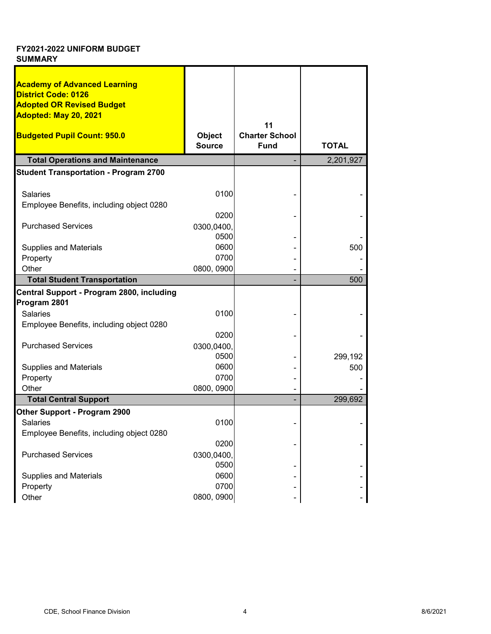| <b>Academy of Advanced Learning</b>                       |               |                       |              |
|-----------------------------------------------------------|---------------|-----------------------|--------------|
| <b>District Code: 0126</b>                                |               |                       |              |
| <b>Adopted OR Revised Budget</b><br>Adopted: May 20, 2021 |               |                       |              |
|                                                           |               | 11                    |              |
| <b>Budgeted Pupil Count: 950.0</b>                        | Object        | <b>Charter School</b> |              |
|                                                           | <b>Source</b> | <b>Fund</b>           | <b>TOTAL</b> |
| <b>Total Operations and Maintenance</b>                   |               |                       | 2,201,927    |
| <b>Student Transportation - Program 2700</b>              |               |                       |              |
| <b>Salaries</b>                                           | 0100          |                       |              |
| Employee Benefits, including object 0280                  |               |                       |              |
|                                                           | 0200          |                       |              |
| <b>Purchased Services</b>                                 | 0300,0400,    |                       |              |
|                                                           | 0500          |                       |              |
| <b>Supplies and Materials</b>                             | 0600          |                       | 500          |
| Property                                                  | 0700          |                       |              |
| Other                                                     | 0800, 0900    |                       |              |
| <b>Total Student Transportation</b>                       |               |                       | 500          |
| Central Support - Program 2800, including                 |               |                       |              |
| Program 2801                                              |               |                       |              |
| <b>Salaries</b>                                           | 0100          |                       |              |
| Employee Benefits, including object 0280                  |               |                       |              |
|                                                           | 0200          |                       |              |
| <b>Purchased Services</b>                                 | 0300,0400,    |                       |              |
|                                                           | 0500          |                       | 299,192      |
| <b>Supplies and Materials</b>                             | 0600          |                       | 500          |
| Property                                                  | 0700          |                       |              |
| Other                                                     | 0800, 0900    |                       |              |
| <b>Total Central Support</b>                              |               |                       | 299,692      |
| <b>Other Support - Program 2900</b>                       |               |                       |              |
| Salaries                                                  | 0100          |                       |              |
| Employee Benefits, including object 0280                  |               |                       |              |
|                                                           | 0200          |                       |              |
| <b>Purchased Services</b>                                 | 0300,0400,    |                       |              |
|                                                           | 0500          |                       |              |
| <b>Supplies and Materials</b>                             | 0600          |                       |              |
| Property                                                  | 0700          |                       |              |
| Other                                                     | 0800, 0900    |                       |              |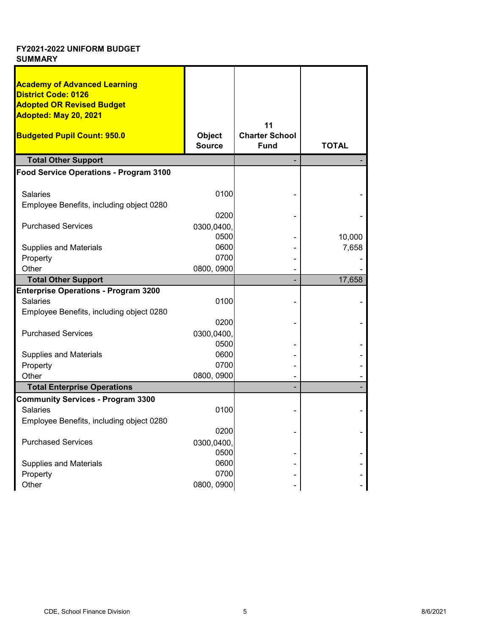| <b>Academy of Advanced Learning</b><br><b>District Code: 0126</b> |               |                       |              |
|-------------------------------------------------------------------|---------------|-----------------------|--------------|
| <b>Adopted OR Revised Budget</b>                                  |               |                       |              |
| Adopted: May 20, 2021                                             |               |                       |              |
|                                                                   |               | 11                    |              |
| <b>Budgeted Pupil Count: 950.0</b>                                | <b>Object</b> | <b>Charter School</b> |              |
|                                                                   | <b>Source</b> | <b>Fund</b>           | <b>TOTAL</b> |
| <b>Total Other Support</b>                                        |               |                       |              |
| Food Service Operations - Program 3100                            |               |                       |              |
| <b>Salaries</b>                                                   | 0100          |                       |              |
| Employee Benefits, including object 0280                          |               |                       |              |
|                                                                   | 0200          |                       |              |
| <b>Purchased Services</b>                                         | 0300,0400,    |                       |              |
|                                                                   | 0500          |                       | 10,000       |
| <b>Supplies and Materials</b>                                     | 0600          |                       | 7,658        |
| Property                                                          | 0700          |                       |              |
| Other                                                             | 0800, 0900    |                       |              |
| <b>Total Other Support</b>                                        |               |                       | 17,658       |
| <b>Enterprise Operations - Program 3200</b>                       |               |                       |              |
| <b>Salaries</b>                                                   | 0100          |                       |              |
| Employee Benefits, including object 0280                          |               |                       |              |
|                                                                   | 0200          |                       |              |
| <b>Purchased Services</b>                                         | 0300,0400,    |                       |              |
|                                                                   | 0500<br>0600  |                       |              |
| <b>Supplies and Materials</b><br>Property                         | 0700          |                       |              |
| Other                                                             | 0800, 0900    |                       |              |
| <b>Total Enterprise Operations</b>                                |               |                       |              |
| <b>Community Services - Program 3300</b>                          |               |                       |              |
| <b>Salaries</b>                                                   | 0100          |                       |              |
| Employee Benefits, including object 0280                          |               |                       |              |
|                                                                   | 0200          |                       |              |
| <b>Purchased Services</b>                                         | 0300,0400,    |                       |              |
|                                                                   | 0500          |                       |              |
| <b>Supplies and Materials</b>                                     | 0600          |                       |              |
| Property                                                          | 0700          |                       |              |
| Other                                                             | 0800, 0900    |                       |              |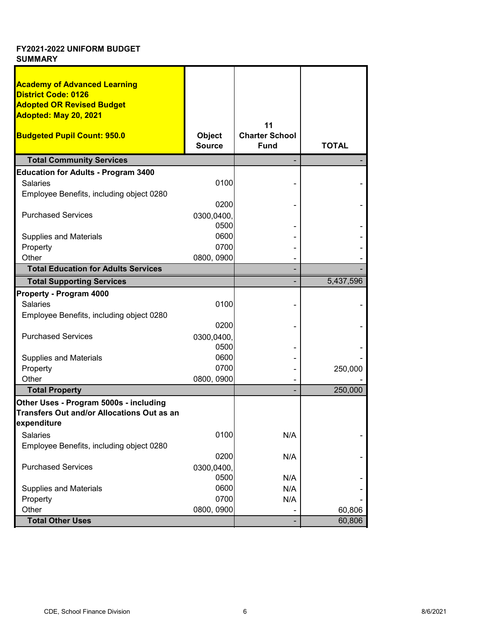| <b>Academy of Advanced Learning</b>        |               |                       |              |
|--------------------------------------------|---------------|-----------------------|--------------|
| <b>District Code: 0126</b>                 |               |                       |              |
| <b>Adopted OR Revised Budget</b>           |               |                       |              |
| Adopted: May 20, 2021                      |               |                       |              |
|                                            |               | 11                    |              |
|                                            |               |                       |              |
| <b>Budgeted Pupil Count: 950.0</b>         | <b>Object</b> | <b>Charter School</b> |              |
|                                            | <b>Source</b> | <b>Fund</b>           | <b>TOTAL</b> |
| <b>Total Community Services</b>            |               |                       |              |
| <b>Education for Adults - Program 3400</b> |               |                       |              |
| <b>Salaries</b>                            | 0100          |                       |              |
| Employee Benefits, including object 0280   |               |                       |              |
|                                            | 0200          |                       |              |
|                                            |               |                       |              |
| <b>Purchased Services</b>                  | 0300,0400,    |                       |              |
|                                            | 0500          |                       |              |
| <b>Supplies and Materials</b>              | 0600          |                       |              |
| Property                                   | 0700          |                       |              |
| Other                                      | 0800, 0900    |                       |              |
| <b>Total Education for Adults Services</b> |               |                       |              |
| <b>Total Supporting Services</b>           |               |                       | 5,437,596    |
| Property - Program 4000                    |               |                       |              |
| <b>Salaries</b>                            | 0100          |                       |              |
| Employee Benefits, including object 0280   |               |                       |              |
|                                            | 0200          |                       |              |
| <b>Purchased Services</b>                  |               |                       |              |
|                                            | 0300,0400,    |                       |              |
|                                            | 0500          |                       |              |
| <b>Supplies and Materials</b>              | 0600          |                       |              |
| Property                                   | 0700          |                       | 250,000      |
| Other                                      | 0800, 0900    |                       |              |
| <b>Total Property</b>                      |               |                       | 250,000      |
| Other Uses - Program 5000s - including     |               |                       |              |
| Transfers Out and/or Allocations Out as an |               |                       |              |
| expenditure                                |               |                       |              |
| Salaries                                   | 0100          | N/A                   |              |
| Employee Benefits, including object 0280   |               |                       |              |
|                                            | 0200          | N/A                   |              |
| <b>Purchased Services</b>                  |               |                       |              |
|                                            | 0300,0400,    |                       |              |
|                                            | 0500          | N/A                   |              |
| <b>Supplies and Materials</b>              | 0600          | N/A                   |              |
| Property                                   | 0700          | N/A                   |              |
| Other                                      | 0800, 0900    |                       | 60,806       |
| <b>Total Other Uses</b>                    |               |                       | 60,806       |